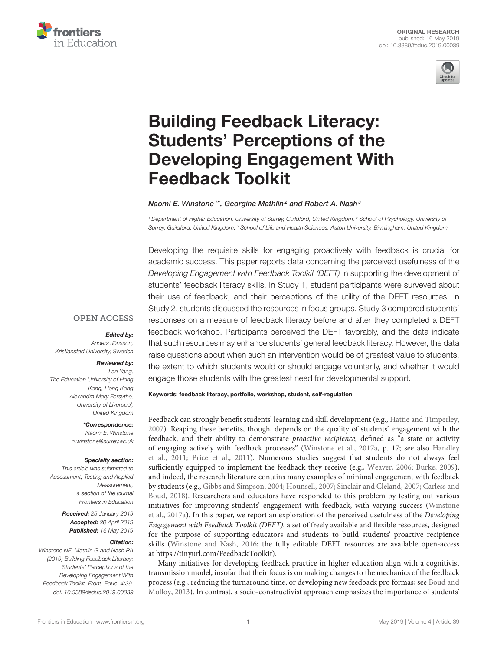



# Building Feedback Literacy: Students' Perceptions of the [Developing Engagement With](https://www.frontiersin.org/articles/10.3389/feduc.2019.00039/full) Feedback Toolkit

#### [Naomi E. Winstone](http://loop.frontiersin.org/people/597713/overview)  $^{1\star}$ , [Georgina Mathlin](http://loop.frontiersin.org/people/676887/overview) $^2$  and [Robert A. Nash](http://loop.frontiersin.org/people/452137/overview) $^3$

<sup>1</sup> Department of Higher Education, University of Surrey, Guildford, United Kingdom, <sup>2</sup> School of Psychology, University of Surrey, Guildford, United Kingdom, <sup>3</sup> School of Life and Health Sciences, Aston University, Birmingham, United Kingdom

Developing the requisite skills for engaging proactively with feedback is crucial for academic success. This paper reports data concerning the perceived usefulness of the Developing Engagement with Feedback Toolkit (DEFT) in supporting the development of students' feedback literacy skills. In Study 1, student participants were surveyed about their use of feedback, and their perceptions of the utility of the DEFT resources. In Study 2, students discussed the resources in focus groups. Study 3 compared students' responses on a measure of feedback literacy before and after they completed a DEFT feedback workshop. Participants perceived the DEFT favorably, and the data indicate that such resources may enhance students' general feedback literacy. However, the data raise questions about when such an intervention would be of greatest value to students, the extent to which students would or should engage voluntarily, and whether it would engage those students with the greatest need for developmental support.

#### **OPEN ACCESS**

#### Edited by:

Anders Jönsson, Kristianstad University, Sweden

#### Reviewed by:

Lan Yang, The Education University of Hong Kong, Hong Kong Alexandra Mary Forsythe, University of Liverpool, United Kingdom

#### \*Correspondence:

Naomi E. Winstone [n.winstone@surrey.ac.uk](mailto:n.winstone@surrey.ac.uk)

#### Specialty section:

This article was submitted to Assessment, Testing and Applied Measurement, a section of the journal Frontiers in Education

> Received: 25 January 2019 Accepted: 30 April 2019 Published: 16 May 2019

#### Citation:

Winstone NE, Mathlin G and Nash RA (2019) Building Feedback Literacy: Students' Perceptions of the Developing Engagement With Feedback Toolkit. Front. Educ. 4:39. doi: [10.3389/feduc.2019.00039](https://doi.org/10.3389/feduc.2019.00039)

Keywords: feedback literacy, portfolio, workshop, student, self-regulation

Feedback can strongly benefit students' learning and skill development (e.g., [Hattie and Timperley,](#page-10-0) [2007\)](#page-10-0). Reaping these benefits, though, depends on the quality of students' engagement with the feedback, and their ability to demonstrate proactive recipience, defined as "a state or activity of engaging actively with feedback processes" [\(Winstone et al., 2017a,](#page-10-1) p. 17; see also Handley et al., [2011;](#page-10-2) [Price et al., 2011\)](#page-10-3). Numerous studies suggest that students do not always feel sufficiently equipped to implement the feedback they receive (e.g., [Weaver, 2006;](#page-10-4) [Burke, 2009\)](#page-10-5), and indeed, the research literature contains many examples of minimal engagement with feedback by students (e.g., [Gibbs and Simpson, 2004;](#page-10-6) [Hounsell, 2007;](#page-10-7) [Sinclair and Cleland, 2007;](#page-10-8) Carless and Boud, [2018\)](#page-10-9). Researchers and educators have responded to this problem by testing out various initiatives for improving students' engagement with feedback, with varying success (Winstone et al., [2017a\)](#page-10-1). In this paper, we report an exploration of the perceived usefulness of the Developing Engagement with Feedback Toolkit (DEFT), a set of freely available and flexible resources, designed for the purpose of supporting educators and students to build students' proactive recipience skills [\(Winstone and Nash, 2016;](#page-10-10) the fully editable DEFT resources are available open-access at [https://tinyurl.com/FeedbackToolkit\)](https://tinyurl.com/FeedbackToolkit).

Many initiatives for developing feedback practice in higher education align with a cognitivist transmission model, insofar that their focus is on making changes to the mechanics of the feedback process (e.g., reducing the turnaround time, or developing new feedback pro formas; see Boud and Molloy, [2013\)](#page-10-11). In contrast, a socio-constructivist approach emphasizes the importance of students'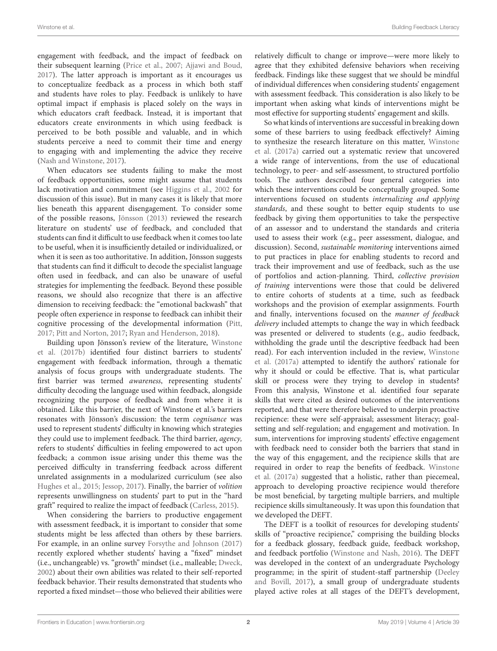engagement with feedback, and the impact of feedback on their subsequent learning [\(Price et al., 2007;](#page-10-12) [Ajjawi and Boud,](#page-10-13) [2017\)](#page-10-13). The latter approach is important as it encourages us to conceptualize feedback as a process in which both staff and students have roles to play. Feedback is unlikely to have optimal impact if emphasis is placed solely on the ways in which educators craft feedback. Instead, it is important that educators create environments in which using feedback is perceived to be both possible and valuable, and in which students perceive a need to commit their time and energy to engaging with and implementing the advice they receive [\(Nash and Winstone, 2017\)](#page-10-14).

When educators see students failing to make the most of feedback opportunities, some might assume that students lack motivation and commitment (see [Higgins et al., 2002](#page-10-15) for discussion of this issue). But in many cases it is likely that more lies beneath this apparent disengagement. To consider some of the possible reasons, [Jönsson \(2013\)](#page-10-16) reviewed the research literature on students' use of feedback, and concluded that students can find it difficult to use feedback when it comes too late to be useful, when it is insufficiently detailed or individualized, or when it is seen as too authoritative. In addition, Jönsson suggests that students can find it difficult to decode the specialist language often used in feedback, and can also be unaware of useful strategies for implementing the feedback. Beyond these possible reasons, we should also recognize that there is an affective dimension to receiving feedback: the "emotional backwash" that people often experience in response to feedback can inhibit their cognitive processing of the developmental information [\(Pitt,](#page-10-17) [2017;](#page-10-17) [Pitt and Norton, 2017;](#page-10-18) [Ryan and Henderson, 2018\)](#page-10-19).

Building upon Jönsson's review of the literature, Winstone et al. [\(2017b\)](#page-10-20) identified four distinct barriers to students' engagement with feedback information, through a thematic analysis of focus groups with undergraduate students. The first barrier was termed awareness, representing students' difficulty decoding the language used within feedback, alongside recognizing the purpose of feedback and from where it is obtained. Like this barrier, the next of Winstone et al.'s barriers resonates with Jönsson's discussion: the term cognisance was used to represent students' difficulty in knowing which strategies they could use to implement feedback. The third barrier, agency, refers to students' difficulties in feeling empowered to act upon feedback; a common issue arising under this theme was the perceived difficulty in transferring feedback across different unrelated assignments in a modularized curriculum (see also [Hughes et al., 2015;](#page-10-21) [Jessop, 2017\)](#page-10-22). Finally, the barrier of volition represents unwillingness on students' part to put in the "hard graft" required to realize the impact of feedback [\(Carless, 2015\)](#page-10-23).

When considering the barriers to productive engagement with assessment feedback, it is important to consider that some students might be less affected than others by these barriers. For example, in an online survey [Forsythe and Johnson \(2017\)](#page-10-24) recently explored whether students' having a "fixed" mindset (i.e., unchangeable) vs. "growth" mindset (i.e., malleable; [Dweck,](#page-10-25) [2002\)](#page-10-25) about their own abilities was related to their self-reported feedback behavior. Their results demonstrated that students who reported a fixed mindset—those who believed their abilities were relatively difficult to change or improve—were more likely to agree that they exhibited defensive behaviors when receiving feedback. Findings like these suggest that we should be mindful of individual differences when considering students' engagement with assessment feedback. This consideration is also likely to be important when asking what kinds of interventions might be most effective for supporting students' engagement and skills.

So what kinds of interventions are successful in breaking down some of these barriers to using feedback effectively? Aiming to synthesize the research literature on this matter, Winstone et al. [\(2017a\)](#page-10-1) carried out a systematic review that uncovered a wide range of interventions, from the use of educational technology, to peer- and self-assessment, to structured portfolio tools. The authors described four general categories into which these interventions could be conceptually grouped. Some interventions focused on students internalizing and applying standards, and these sought to better equip students to use feedback by giving them opportunities to take the perspective of an assessor and to understand the standards and criteria used to assess their work (e.g., peer assessment, dialogue, and discussion). Second, sustainable monitoring interventions aimed to put practices in place for enabling students to record and track their improvement and use of feedback, such as the use of portfolios and action-planning. Third, collective provision of training interventions were those that could be delivered to entire cohorts of students at a time, such as feedback workshops and the provision of exemplar assignments. Fourth and finally, interventions focused on the manner of feedback delivery included attempts to change the way in which feedback was presented or delivered to students (e.g., audio feedback, withholding the grade until the descriptive feedback had been read). For each intervention included in the review, Winstone et al. [\(2017a\)](#page-10-1) attempted to identify the authors' rationale for why it should or could be effective. That is, what particular skill or process were they trying to develop in students? From this analysis, Winstone et al. identified four separate skills that were cited as desired outcomes of the interventions reported, and that were therefore believed to underpin proactive recipience: these were self-appraisal; assessment literacy; goalsetting and self-regulation; and engagement and motivation. In sum, interventions for improving students' effective engagement with feedback need to consider both the barriers that stand in the way of this engagement, and the recipience skills that are required in order to reap the benefits of feedback. Winstone et al. [\(2017a\)](#page-10-1) suggested that a holistic, rather than piecemeal, approach to developing proactive recipience would therefore be most beneficial, by targeting multiple barriers, and multiple recipience skills simultaneously. It was upon this foundation that we developed the DEFT.

The DEFT is a toolkit of resources for developing students' skills of "proactive recipience," comprising the building blocks for a feedback glossary, feedback guide, feedback workshop, and feedback portfolio [\(Winstone and Nash, 2016\)](#page-10-10). The DEFT was developed in the context of an undergraduate Psychology programme; in the spirit of student-staff partnership (Deeley and Bovill, [2017\)](#page-10-26), a small group of undergraduate students played active roles at all stages of the DEFT's development,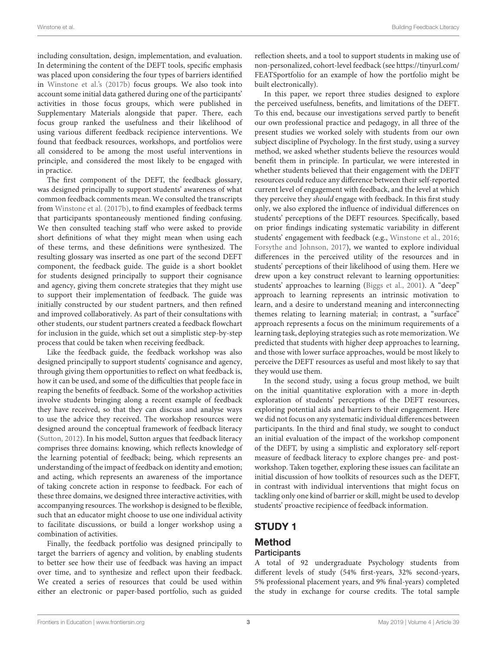including consultation, design, implementation, and evaluation. In determining the content of the DEFT tools, specific emphasis was placed upon considering the four types of barriers identified in [Winstone et al.'s \(2017b\)](#page-10-20) focus groups. We also took into account some initial data gathered during one of the participants' activities in those focus groups, which were published in Supplementary Materials alongside that paper. There, each focus group ranked the usefulness and their likelihood of using various different feedback recipience interventions. We found that feedback resources, workshops, and portfolios were all considered to be among the most useful interventions in principle, and considered the most likely to be engaged with in practice.

The first component of the DEFT, the feedback glossary, was designed principally to support students' awareness of what common feedback comments mean. We consulted the transcripts from [Winstone et al. \(2017b\)](#page-10-20), to find examples of feedback terms that participants spontaneously mentioned finding confusing. We then consulted teaching staff who were asked to provide short definitions of what they might mean when using each of these terms, and these definitions were synthesized. The resulting glossary was inserted as one part of the second DEFT component, the feedback guide. The guide is a short booklet for students designed principally to support their cognisance and agency, giving them concrete strategies that they might use to support their implementation of feedback. The guide was initially constructed by our student partners, and then refined and improved collaboratively. As part of their consultations with other students, our student partners created a feedback flowchart for inclusion in the guide, which set out a simplistic step-by-step process that could be taken when receiving feedback.

Like the feedback guide, the feedback workshop was also designed principally to support students' cognisance and agency, through giving them opportunities to reflect on what feedback is, how it can be used, and some of the difficulties that people face in reaping the benefits of feedback. Some of the workshop activities involve students bringing along a recent example of feedback they have received, so that they can discuss and analyse ways to use the advice they received. The workshop resources were designed around the conceptual framework of feedback literacy [\(Sutton, 2012\)](#page-10-27). In his model, Sutton argues that feedback literacy comprises three domains: knowing, which reflects knowledge of the learning potential of feedback; being, which represents an understanding of the impact of feedback on identity and emotion; and acting, which represents an awareness of the importance of taking concrete action in response to feedback. For each of these three domains, we designed three interactive activities, with accompanying resources. The workshop is designed to be flexible, such that an educator might choose to use one individual activity to facilitate discussions, or build a longer workshop using a combination of activities.

Finally, the feedback portfolio was designed principally to target the barriers of agency and volition, by enabling students to better see how their use of feedback was having an impact over time, and to synthesize and reflect upon their feedback. We created a series of resources that could be used within either an electronic or paper-based portfolio, such as guided reflection sheets, and a tool to support students in making use of non-personalized, cohort-level feedback (see [https://tinyurl.com/](https://tinyurl.com/FEATSportfolio) [FEATSportfolio](https://tinyurl.com/FEATSportfolio) for an example of how the portfolio might be built electronically).

In this paper, we report three studies designed to explore the perceived usefulness, benefits, and limitations of the DEFT. To this end, because our investigations served partly to benefit our own professional practice and pedagogy, in all three of the present studies we worked solely with students from our own subject discipline of Psychology. In the first study, using a survey method, we asked whether students believe the resources would benefit them in principle. In particular, we were interested in whether students believed that their engagement with the DEFT resources could reduce any difference between their self-reported current level of engagement with feedback, and the level at which they perceive they should engage with feedback. In this first study only, we also explored the influence of individual differences on students' perceptions of the DEFT resources. Specifically, based on prior findings indicating systematic variability in different students' engagement with feedback (e.g., [Winstone et al., 2016;](#page-10-28) [Forsythe and Johnson, 2017\)](#page-10-24), we wanted to explore individual differences in the perceived utility of the resources and in students' perceptions of their likelihood of using them. Here we drew upon a key construct relevant to learning opportunities: students' approaches to learning [\(Biggs et al., 2001\)](#page-10-29). A "deep" approach to learning represents an intrinsic motivation to learn, and a desire to understand meaning and interconnecting themes relating to learning material; in contrast, a "surface" approach represents a focus on the minimum requirements of a learning task, deploying strategies such as rote memorization. We predicted that students with higher deep approaches to learning, and those with lower surface approaches, would be most likely to perceive the DEFT resources as useful and most likely to say that they would use them.

In the second study, using a focus group method, we built on the initial quantitative exploration with a more in-depth exploration of students' perceptions of the DEFT resources, exploring potential aids and barriers to their engagement. Here we did not focus on any systematic individual differences between participants. In the third and final study, we sought to conduct an initial evaluation of the impact of the workshop component of the DEFT, by using a simplistic and exploratory self-report measure of feedback literacy to explore changes pre- and postworkshop. Taken together, exploring these issues can facilitate an initial discussion of how toolkits of resources such as the DEFT, in contrast with individual interventions that might focus on tackling only one kind of barrier or skill, might be used to develop students' proactive recipience of feedback information.

### STUDY 1

# Method

#### **Participants**

A total of 92 undergraduate Psychology students from different levels of study (54% first-years, 32% second-years, 5% professional placement years, and 9% final-years) completed the study in exchange for course credits. The total sample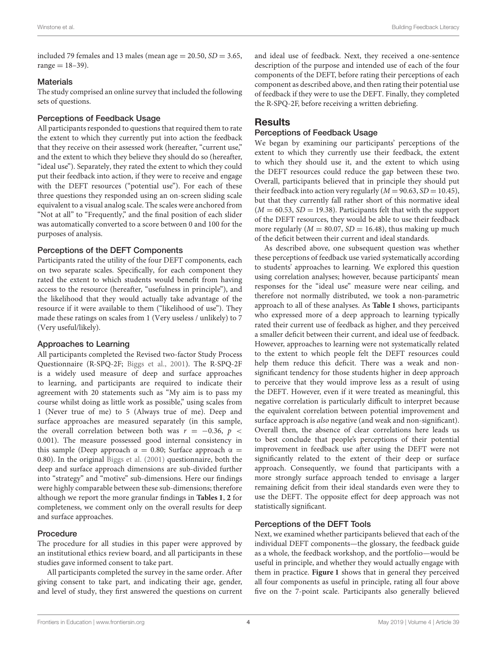included 79 females and 13 males (mean age  $= 20.50$ ,  $SD = 3.65$ ,  $range = 18 - 39$ ).

#### **Materials**

The study comprised an online survey that included the following sets of questions.

#### Perceptions of Feedback Usage

All participants responded to questions that required them to rate the extent to which they currently put into action the feedback that they receive on their assessed work (hereafter, "current use," and the extent to which they believe they should do so (hereafter, "ideal use"). Separately, they rated the extent to which they could put their feedback into action, if they were to receive and engage with the DEFT resources ("potential use"). For each of these three questions they responded using an on-screen sliding scale equivalent to a visual analog scale. The scales were anchored from "Not at all" to "Frequently," and the final position of each slider was automatically converted to a score between 0 and 100 for the purposes of analysis.

#### Perceptions of the DEFT Components

Participants rated the utility of the four DEFT components, each on two separate scales. Specifically, for each component they rated the extent to which students would benefit from having access to the resource (hereafter, "usefulness in principle"), and the likelihood that they would actually take advantage of the resource if it were available to them ("likelihood of use"). They made these ratings on scales from 1 (Very useless / unlikely) to 7 (Very useful/likely).

#### Approaches to Learning

All participants completed the Revised two-factor Study Process Questionnaire (R-SPQ-2F; [Biggs et al., 2001\)](#page-10-29). The R-SPQ-2F is a widely used measure of deep and surface approaches to learning, and participants are required to indicate their agreement with 20 statements such as "My aim is to pass my course whilst doing as little work as possible," using scales from 1 (Never true of me) to 5 (Always true of me). Deep and surface approaches are measured separately (in this sample, the overall correlation between both was  $r = -0.36$ ,  $p <$ 0.001). The measure possessed good internal consistency in this sample (Deep approach  $\alpha = 0.80$ ; Surface approach  $\alpha =$ 0.80). In the original [Biggs et al. \(2001\)](#page-10-29) questionnaire, both the deep and surface approach dimensions are sub-divided further into "strategy" and "motive" sub-dimensions. Here our findings were highly comparable between these sub-dimensions; therefore although we report the more granular findings in **[Tables 1](#page-4-0)**, **[2](#page-4-1)** for completeness, we comment only on the overall results for deep and surface approaches.

#### Procedure

The procedure for all studies in this paper were approved by an institutional ethics review board, and all participants in these studies gave informed consent to take part.

All participants completed the survey in the same order. After giving consent to take part, and indicating their age, gender, and level of study, they first answered the questions on current and ideal use of feedback. Next, they received a one-sentence description of the purpose and intended use of each of the four components of the DEFT, before rating their perceptions of each component as described above, and then rating their potential use of feedback if they were to use the DEFT. Finally, they completed the R-SPQ-2F, before receiving a written debriefing.

# **Results**

#### Perceptions of Feedback Usage

We began by examining our participants' perceptions of the extent to which they currently use their feedback, the extent to which they should use it, and the extent to which using the DEFT resources could reduce the gap between these two. Overall, participants believed that in principle they should put their feedback into action very regularly  $(M = 90.63, SD = 10.45)$ , but that they currently fall rather short of this normative ideal  $(M = 60.53, SD = 19.38)$ . Participants felt that with the support of the DEFT resources, they would be able to use their feedback more regularly ( $M = 80.07$ ,  $SD = 16.48$ ), thus making up much of the deficit between their current and ideal standards.

As described above, one subsequent question was whether these perceptions of feedback use varied systematically according to students' approaches to learning. We explored this question using correlation analyses; however, because participants' mean responses for the "ideal use" measure were near ceiling, and therefore not normally distributed, we took a non-parametric approach to all of these analyses. As **[Table 1](#page-4-0)** shows, participants who expressed more of a deep approach to learning typically rated their current use of feedback as higher, and they perceived a smaller deficit between their current, and ideal use of feedback. However, approaches to learning were not systematically related to the extent to which people felt the DEFT resources could help them reduce this deficit. There was a weak and nonsignificant tendency for those students higher in deep approach to perceive that they would improve less as a result of using the DEFT. However, even if it were treated as meaningful, this negative correlation is particularly difficult to interpret because the equivalent correlation between potential improvement and surface approach is also negative (and weak and non-significant). Overall then, the absence of clear correlations here leads us to best conclude that people's perceptions of their potential improvement in feedback use after using the DEFT were not significantly related to the extent of their deep or surface approach. Consequently, we found that participants with a more strongly surface approach tended to envisage a larger remaining deficit from their ideal standards even were they to use the DEFT. The opposite effect for deep approach was not statistically significant.

#### Perceptions of the DEFT Tools

Next, we examined whether participants believed that each of the individual DEFT components—the glossary, the feedback guide as a whole, the feedback workshop, and the portfolio—would be useful in principle, and whether they would actually engage with them in practice. **[Figure 1](#page-4-2)** shows that in general they perceived all four components as useful in principle, rating all four above five on the 7-point scale. Participants also generally believed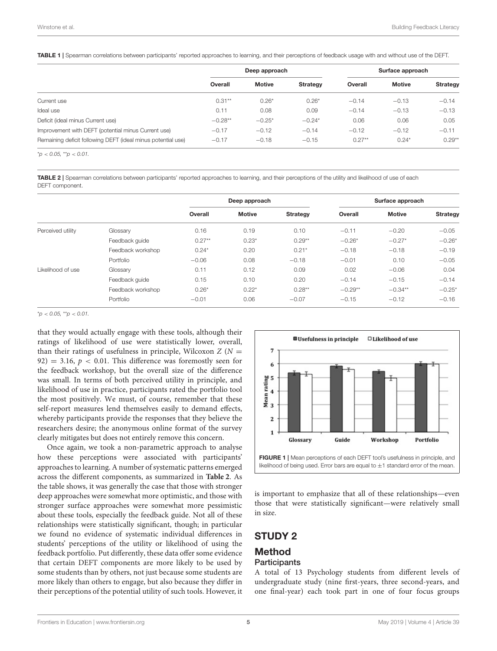<span id="page-4-0"></span>TABLE 1 | Spearman correlations between participants' reported approaches to learning, and their perceptions of feedback usage with and without use of the DEFT.

|                                                              | Deep approach |               |                 | Surface approach |               |                 |
|--------------------------------------------------------------|---------------|---------------|-----------------|------------------|---------------|-----------------|
|                                                              | Overall       | <b>Motive</b> | <b>Strategy</b> | Overall          | <b>Motive</b> | <b>Strategy</b> |
| Current use                                                  | $0.31***$     | $0.26*$       | $0.26*$         | $-0.14$          | $-0.13$       | $-0.14$         |
| Ideal use                                                    | 0.11          | 0.08          | 0.09            | $-0.14$          | $-0.13$       | $-0.13$         |
| Deficit (ideal minus Current use)                            | $-0.28**$     | $-0.25*$      | $-0.24*$        | 0.06             | 0.06          | 0.05            |
| Improvement with DEFT (potential minus Current use)          | $-0.17$       | $-0.12$       | $-0.14$         | $-0.12$          | $-0.12$       | $-0.11$         |
| Remaining deficit following DEFT (ideal minus potential use) | $-0.17$       | $-0.18$       | $-0.15$         | $0.27**$         | $0.24*$       | $0.29**$        |

 $p^*$  < 0.05,  $p^*$  < 0.01.

<span id="page-4-1"></span>TABLE 2 | Spearman correlations between participants' reported approaches to learning, and their perceptions of the utility and likelihood of use of each DEFT component.

|                   |                   | Deep approach |               |                 | Surface approach |               |                 |
|-------------------|-------------------|---------------|---------------|-----------------|------------------|---------------|-----------------|
|                   |                   | Overall       | <b>Motive</b> | <b>Strategy</b> | Overall          | <b>Motive</b> | <b>Strategy</b> |
| Perceived utility | Glossary          | 0.16          | 0.19          | 0.10            | $-0.11$          | $-0.20$       | $-0.05$         |
|                   | Feedback quide    | $0.27**$      | $0.23*$       | $0.29**$        | $-0.26*$         | $-0.27*$      | $-0.26*$        |
|                   | Feedback workshop | $0.24*$       | 0.20          | $0.21*$         | $-0.18$          | $-0.18$       | $-0.19$         |
|                   | Portfolio         | $-0.06$       | 0.08          | $-0.18$         | $-0.01$          | 0.10          | $-0.05$         |
| Likelihood of use | Glossary          | 0.11          | 0.12          | 0.09            | 0.02             | $-0.06$       | 0.04            |
|                   | Feedback quide    | 0.15          | 0.10          | 0.20            | $-0.14$          | $-0.15$       | $-0.14$         |
|                   | Feedback workshop | $0.26*$       | $0.22*$       | $0.28***$       | $-0.29**$        | $-0.34**$     | $-0.25*$        |
|                   | Portfolio         | $-0.01$       | 0.06          | $-0.07$         | $-0.15$          | $-0.12$       | $-0.16$         |

 $p^*$  < 0.05,  $kp$  < 0.01.

that they would actually engage with these tools, although their ratings of likelihood of use were statistically lower, overall, than their ratings of usefulness in principle, Wilcoxon  $Z$  ( $N =$ 92) = 3.16,  $p < 0.01$ . This difference was foremostly seen for the feedback workshop, but the overall size of the difference was small. In terms of both perceived utility in principle, and likelihood of use in practice, participants rated the portfolio tool the most positively. We must, of course, remember that these self-report measures lend themselves easily to demand effects, whereby participants provide the responses that they believe the researchers desire; the anonymous online format of the survey clearly mitigates but does not entirely remove this concern.

Once again, we took a non-parametric approach to analyse how these perceptions were associated with participants' approaches to learning. A number of systematic patterns emerged across the different components, as summarized in **[Table 2](#page-4-1)**. As the table shows, it was generally the case that those with stronger deep approaches were somewhat more optimistic, and those with stronger surface approaches were somewhat more pessimistic about these tools, especially the feedback guide. Not all of these relationships were statistically significant, though; in particular we found no evidence of systematic individual differences in students' perceptions of the utility or likelihood of using the feedback portfolio. Put differently, these data offer some evidence that certain DEFT components are more likely to be used by some students than by others, not just because some students are more likely than others to engage, but also because they differ in their perceptions of the potential utility of such tools. However, it



<span id="page-4-2"></span>is important to emphasize that all of these relationships—even those that were statistically significant—were relatively small in size.

# STUDY 2

# Method

#### **Participants**

A total of 13 Psychology students from different levels of undergraduate study (nine first-years, three second-years, and one final-year) each took part in one of four focus groups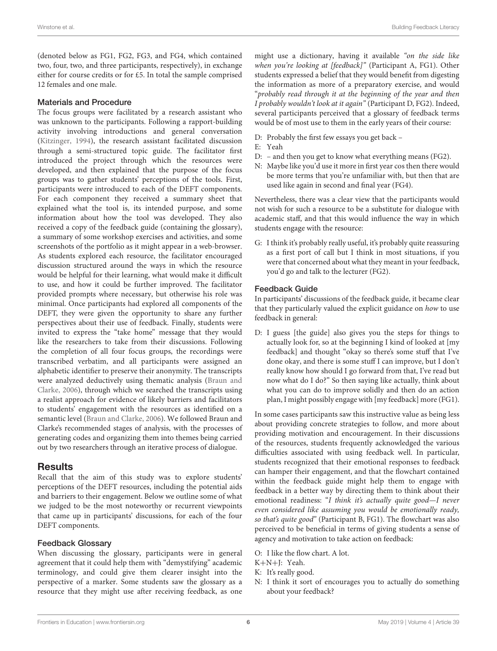(denoted below as FG1, FG2, FG3, and FG4, which contained two, four, two, and three participants, respectively), in exchange either for course credits or for £5. In total the sample comprised 12 females and one male.

#### Materials and Procedure

The focus groups were facilitated by a research assistant who was unknown to the participants. Following a rapport-building activity involving introductions and general conversation [\(Kitzinger, 1994\)](#page-10-30), the research assistant facilitated discussion through a semi-structured topic guide. The facilitator first introduced the project through which the resources were developed, and then explained that the purpose of the focus groups was to gather students' perceptions of the tools. First, participants were introduced to each of the DEFT components. For each component they received a summary sheet that explained what the tool is, its intended purpose, and some information about how the tool was developed. They also received a copy of the feedback guide (containing the glossary), a summary of some workshop exercises and activities, and some screenshots of the portfolio as it might appear in a web-browser. As students explored each resource, the facilitator encouraged discussion structured around the ways in which the resource would be helpful for their learning, what would make it difficult to use, and how it could be further improved. The facilitator provided prompts where necessary, but otherwise his role was minimal. Once participants had explored all components of the DEFT, they were given the opportunity to share any further perspectives about their use of feedback. Finally, students were invited to express the "take home" message that they would like the researchers to take from their discussions. Following the completion of all four focus groups, the recordings were transcribed verbatim, and all participants were assigned an alphabetic identifier to preserve their anonymity. The transcripts were analyzed deductively using thematic analysis (Braun and Clarke, [2006\)](#page-10-31), through which we searched the transcripts using a realist approach for evidence of likely barriers and facilitators to students' engagement with the resources as identified on a semantic level [\(Braun and Clarke, 2006\)](#page-10-31). We followed Braun and Clarke's recommended stages of analysis, with the processes of generating codes and organizing them into themes being carried out by two researchers through an iterative process of dialogue.

#### **Results**

Recall that the aim of this study was to explore students' perceptions of the DEFT resources, including the potential aids and barriers to their engagement. Below we outline some of what we judged to be the most noteworthy or recurrent viewpoints that came up in participants' discussions, for each of the four DEFT components.

#### Feedback Glossary

When discussing the glossary, participants were in general agreement that it could help them with "demystifying" academic terminology, and could give them clearer insight into the perspective of a marker. Some students saw the glossary as a resource that they might use after receiving feedback, as one might use a dictionary, having it available "on the side like when you're looking at [feedback]" (Participant A, FG1). Other students expressed a belief that they would benefit from digesting the information as more of a preparatory exercise, and would "probably read through it at the beginning of the year and then I probably wouldn't look at it again" (Participant D, FG2). Indeed, several participants perceived that a glossary of feedback terms would be of most use to them in the early years of their course:

- D: Probably the first few essays you get back –
- E: Yeah
- D: and then you get to know what everything means (FG2).
- N: Maybe like you'd use it more in first year cos then there would be more terms that you're unfamiliar with, but then that are used like again in second and final year (FG4).

Nevertheless, there was a clear view that the participants would not wish for such a resource to be a substitute for dialogue with academic staff, and that this would influence the way in which students engage with the resource:

G: I think it's probably really useful, it's probably quite reassuring as a first port of call but I think in most situations, if you were that concerned about what they meant in your feedback, you'd go and talk to the lecturer (FG2).

#### Feedback Guide

In participants' discussions of the feedback guide, it became clear that they particularly valued the explicit guidance on how to use feedback in general:

D: I guess [the guide] also gives you the steps for things to actually look for, so at the beginning I kind of looked at [my feedback] and thought "okay so there's some stuff that I've done okay, and there is some stuff I can improve, but I don't really know how should I go forward from that, I've read but now what do I do?" So then saying like actually, think about what you can do to improve solidly and then do an action plan, I might possibly engage with [my feedback] more (FG1).

In some cases participants saw this instructive value as being less about providing concrete strategies to follow, and more about providing motivation and encouragement. In their discussions of the resources, students frequently acknowledged the various difficulties associated with using feedback well. In particular, students recognized that their emotional responses to feedback can hamper their engagement, and that the flowchart contained within the feedback guide might help them to engage with feedback in a better way by directing them to think about their emotional readiness: "I think it's actually quite good-I never even considered like assuming you would be emotionally ready, so that's quite good" (Participant B, FG1). The flowchart was also perceived to be beneficial in terms of giving students a sense of agency and motivation to take action on feedback:

- O: I like the flow chart. A lot.
- K+N+J: Yeah.
- K: It's really good.
- N: I think it sort of encourages you to actually do something about your feedback?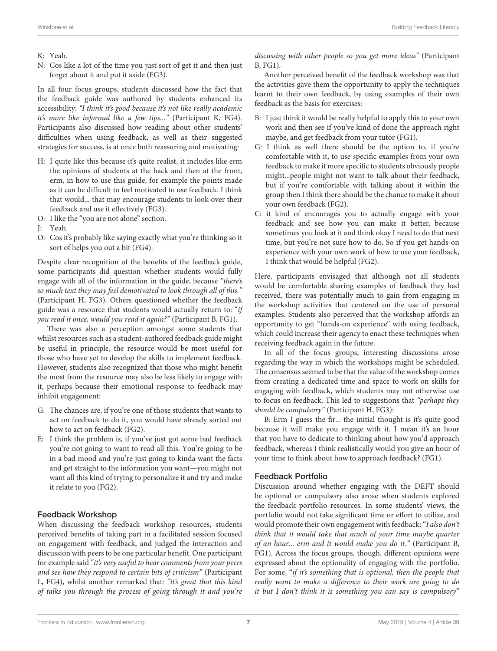K: Yeah.

N: Cos like a lot of the time you just sort of get it and then just forget about it and put it aside (FG3).

In all four focus groups, students discussed how the fact that the feedback guide was authored by students enhanced its accessibility: "I think it's good because it's not like really academic it's more like informal like a few tips..." (Participant K, FG4). Participants also discussed how reading about other students' difficulties when using feedback, as well as their suggested strategies for success, is at once both reassuring and motivating:

- H: I quite like this because it's quite realist, it includes like erm the opinions of students at the back and then at the front, erm, in how to use this guide, for example the points made as it can be difficult to feel motivated to use feedback. I think that would... that may encourage students to look over their feedback and use it effectively (FG3).
- O: I like the "you are not alone" section.

J: Yeah.

O: Cos it's probably like saying exactly what you're thinking so it sort of helps you out a bit (FG4).

Despite clear recognition of the benefits of the feedback guide, some participants did question whether students would fully engage with all of the information in the guide, because "there's so much text they may feel demotivated to look through all of this." (Participant H, FG3). Others questioned whether the feedback guide was a resource that students would actually return to: "if you read it once, would you read it again?" (Participant B, FG1).

There was also a perception amongst some students that whilst resources such as a student-authored feedback guide might be useful in principle, the resource would be most useful for those who have yet to develop the skills to implement feedback. However, students also recognized that those who might benefit the most from the resource may also be less likely to engage with it, perhaps because their emotional response to feedback may inhibit engagement:

- G: The chances are, if you're one of those students that wants to act on feedback to do it, you would have already sorted out how to act on feedback (FG2).
- E: I think the problem is, if you've just got some bad feedback you're not going to want to read all this. You're going to be in a bad mood and you're just going to kinda want the facts and get straight to the information you want—you might not want all this kind of trying to personalize it and try and make it relate to you (FG2).

#### Feedback Workshop

When discussing the feedback workshop resources, students perceived benefits of taking part in a facilitated session focused on engagement with feedback, and judged the interaction and discussion with peers to be one particular benefit. One participant for example said "it's very useful to hear comments from your peers and see how they respond to certain bits of criticism" (Participant L, FG4), whilst another remarked that: "it's great that this kind of talks you through the process of going through it and you're

#### discussing with other people so you get more ideas" (Participant B, FG1).

Another perceived benefit of the feedback workshop was that the activities gave them the opportunity to apply the techniques learnt to their own feedback, by using examples of their own feedback as the basis for exercises:

- B: I just think it would be really helpful to apply this to your own work and then see if you've kind of done the approach right maybe, and get feedback from your tutor (FG1).
- G: I think as well there should be the option to, if you're comfortable with it, to use specific examples from your own feedback to make it more specific to students obviously people might...people might not want to talk about their feedback, but if you're comfortable with talking about it within the group then I think there should be the chance to make it about your own feedback (FG2).
- C: it kind of encourages you to actually engage with your feedback and see how you can make it better, because sometimes you look at it and think okay I need to do that next time, but you're not sure how to do. So if you get hands-on experience with your own work of how to use your feedback, I think that would be helpful (FG2).

Here, participants envisaged that although not all students would be comfortable sharing examples of feedback they had received, there was potentially much to gain from engaging in the workshop activities that centered on the use of personal examples. Students also perceived that the workshop affords an opportunity to get "hands-on experience" with using feedback, which could increase their agency to enact these techniques when receiving feedback again in the future.

In all of the focus groups, interesting discussions arose regarding the way in which the workshops might be scheduled. The consensus seemed to be that the value of the workshop comes from creating a dedicated time and space to work on skills for engaging with feedback, which students may not otherwise use to focus on feedback. This led to suggestions that "perhaps they should be compulsory" (Participant H, FG3):

B: Erm I guess the fir... the initial thought is it's quite good because it will make you engage with it. I mean it's an hour that you have to dedicate to thinking about how you'd approach feedback, whereas I think realistically would you give an hour of your time to think about how to approach feedback? (FG1).

#### Feedback Portfolio

Discussion around whether engaging with the DEFT should be optional or compulsory also arose when students explored the feedback portfolio resources. In some students' views, the portfolio would not take significant time or effort to utilize, and would promote their own engagement with feedback: "I also don't think that it would take that much of your time maybe quarter of an hour... erm and it would make you do it." (Participant B, FG1). Across the focus groups, though, different opinions were expressed about the optionality of engaging with the portfolio. For some, "if it's something that is optional, then the people that really want to make a difference to their work are going to do it but I don't think it is something you can say is compulsory"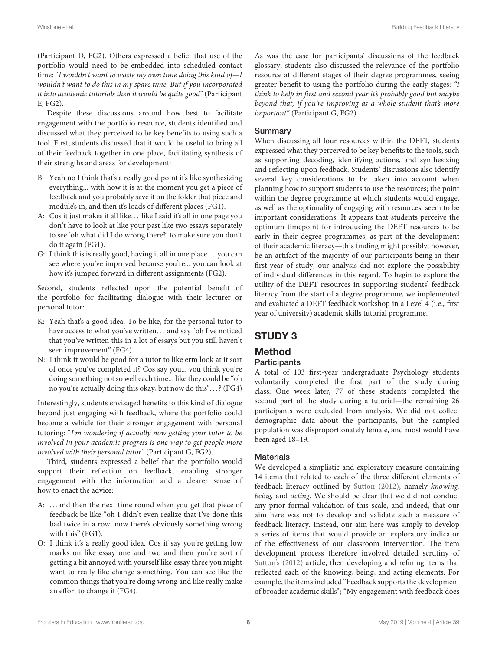(Participant D, FG2). Others expressed a belief that use of the portfolio would need to be embedded into scheduled contact time: "I wouldn't want to waste my own time doing this kind of—I wouldn't want to do this in my spare time. But if you incorporated it into academic tutorials then it would be quite good" (Participant E, FG2).

Despite these discussions around how best to facilitate engagement with the portfolio resource, students identified and discussed what they perceived to be key benefits to using such a tool. First, students discussed that it would be useful to bring all of their feedback together in one place, facilitating synthesis of their strengths and areas for development:

- B: Yeah no I think that's a really good point it's like synthesizing everything... with how it is at the moment you get a piece of feedback and you probably save it on the folder that piece and module's in, and then it's loads of different places (FG1).
- A: Cos it just makes it all like... like I said it's all in one page you don't have to look at like your past like two essays separately to see 'oh what did I do wrong there?' to make sure you don't do it again (FG1).
- G: I think this is really good, having it all in one place. . . you can see where you've improved because you're... you can look at how it's jumped forward in different assignments (FG2).

Second, students reflected upon the potential benefit of the portfolio for facilitating dialogue with their lecturer or personal tutor:

- K: Yeah that's a good idea. To be like, for the personal tutor to have access to what you've written. . . and say "oh I've noticed that you've written this in a lot of essays but you still haven't seen improvement" (FG4).
- N: I think it would be good for a tutor to like erm look at it sort of once you've completed it? Cos say you... you think you're doing something not so well each time... like they could be "oh no you're actually doing this okay, but now do this". . . ? (FG4)

Interestingly, students envisaged benefits to this kind of dialogue beyond just engaging with feedback, where the portfolio could become a vehicle for their stronger engagement with personal tutoring: "I'm wondering if actually now getting your tutor to be involved in your academic progress is one way to get people more involved with their personal tutor" (Participant G, FG2).

Third, students expressed a belief that the portfolio would support their reflection on feedback, enabling stronger engagement with the information and a clearer sense of how to enact the advice:

- A: . . . and then the next time round when you get that piece of feedback be like "oh I didn't even realize that I've done this bad twice in a row, now there's obviously something wrong with this" (FG1).
- O: I think it's a really good idea. Cos if say you're getting low marks on like essay one and two and then you're sort of getting a bit annoyed with yourself like essay three you might want to really like change something. You can see like the common things that you're doing wrong and like really make an effort to change it (FG4).

As was the case for participants' discussions of the feedback glossary, students also discussed the relevance of the portfolio resource at different stages of their degree programmes, seeing greater benefit to using the portfolio during the early stages: "I think to help in first and second year it's probably good but maybe beyond that, if you're improving as a whole student that's more important" (Participant G, FG2).

#### **Summary**

When discussing all four resources within the DEFT, students expressed what they perceived to be key benefits to the tools, such as supporting decoding, identifying actions, and synthesizing and reflecting upon feedback. Students' discussions also identify several key considerations to be taken into account when planning how to support students to use the resources; the point within the degree programme at which students would engage, as well as the optionality of engaging with resources, seem to be important considerations. It appears that students perceive the optimum timepoint for introducing the DEFT resources to be early in their degree programmes, as part of the development of their academic literacy—this finding might possibly, however, be an artifact of the majority of our participants being in their first-year of study; our analysis did not explore the possibility of individual differences in this regard. To begin to explore the utility of the DEFT resources in supporting students' feedback literacy from the start of a degree programme, we implemented and evaluated a DEFT feedback workshop in a Level 4 (i.e., first year of university) academic skills tutorial programme.

# STUDY 3

# Method

### **Participants**

A total of 103 first-year undergraduate Psychology students voluntarily completed the first part of the study during class. One week later, 77 of these students completed the second part of the study during a tutorial—the remaining 26 participants were excluded from analysis. We did not collect demographic data about the participants, but the sampled population was disproportionately female, and most would have been aged 18–19.

#### Materials

We developed a simplistic and exploratory measure containing 14 items that related to each of the three different elements of feedback literacy outlined by [Sutton \(2012\)](#page-10-27), namely knowing, being, and acting. We should be clear that we did not conduct any prior formal validation of this scale, and indeed, that our aim here was not to develop and validate such a measure of feedback literacy. Instead, our aim here was simply to develop a series of items that would provide an exploratory indicator of the effectiveness of our classroom intervention. The item development process therefore involved detailed scrutiny of [Sutton's \(2012\)](#page-10-27) article, then developing and refining items that reflected each of the knowing, being, and acting elements. For example, the items included "Feedback supports the development of broader academic skills"; "My engagement with feedback does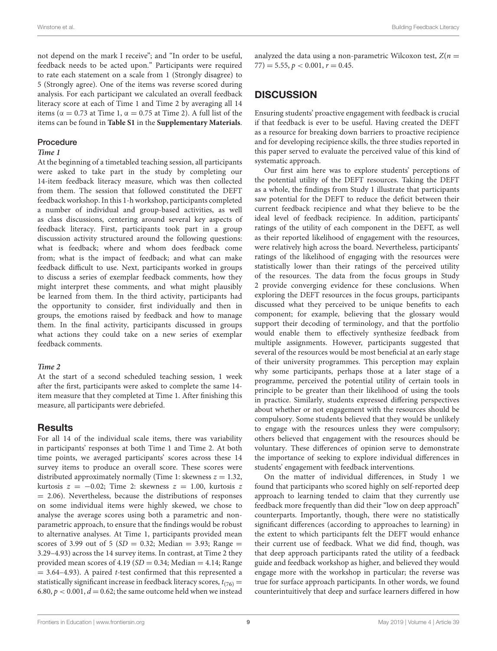not depend on the mark I receive"; and "In order to be useful, feedback needs to be acted upon." Participants were required to rate each statement on a scale from 1 (Strongly disagree) to 5 (Strongly agree). One of the items was reverse scored during analysis. For each participant we calculated an overall feedback literacy score at each of Time 1 and Time 2 by averaging all 14 items ( $\alpha = 0.73$  at Time 1,  $\alpha = 0.75$  at Time 2). A full list of the items can be found in **[Table S1](#page-9-0)** in the **[Supplementary Materials](#page-9-0)**.

#### Procedure

#### **Time 1**

At the beginning of a timetabled teaching session, all participants were asked to take part in the study by completing our 14-item feedback literacy measure, which was then collected from them. The session that followed constituted the DEFT feedback workshop. In this 1-h workshop, participants completed a number of individual and group-based activities, as well as class discussions, centering around several key aspects of feedback literacy. First, participants took part in a group discussion activity structured around the following questions: what is feedback; where and whom does feedback come from; what is the impact of feedback; and what can make feedback difficult to use. Next, participants worked in groups to discuss a series of exemplar feedback comments, how they might interpret these comments, and what might plausibly be learned from them. In the third activity, participants had the opportunity to consider, first individually and then in groups, the emotions raised by feedback and how to manage them. In the final activity, participants discussed in groups what actions they could take on a new series of exemplar feedback comments.

#### **Time 2**

At the start of a second scheduled teaching session, 1 week after the first, participants were asked to complete the same 14 item measure that they completed at Time 1. After finishing this measure, all participants were debriefed.

# **Results**

For all 14 of the individual scale items, there was variability in participants' responses at both Time 1 and Time 2. At both time points, we averaged participants' scores across these 14 survey items to produce an overall score. These scores were distributed approximately normally (Time 1: skewness  $z = 1.32$ , kurtosis  $z = -0.02$ ; Time 2: skewness  $z = 1.00$ , kurtosis z  $= 2.06$ ). Nevertheless, because the distributions of responses on some individual items were highly skewed, we chose to analyse the average scores using both a parametric and nonparametric approach, to ensure that the findings would be robust to alternative analyses. At Time 1, participants provided mean scores of 3.99 out of 5 ( $SD = 0.32$ ; Median = 3.93; Range = 3.29–4.93) across the 14 survey items. In contrast, at Time 2 they provided mean scores of 4.19 ( $SD = 0.34$ ; Median = 4.14; Range  $= 3.64-4.93$ ). A paired *t*-test confirmed that this represented a statistically significant increase in feedback literacy scores,  $t_{(76)} =$ 6.80,  $p < 0.001$ ,  $d = 0.62$ ; the same outcome held when we instead analyzed the data using a non-parametric Wilcoxon test,  $Z(n =$  $77$ ) = 5.55,  $p < 0.001$ ,  $r = 0.45$ .

# **DISCUSSION**

Ensuring students' proactive engagement with feedback is crucial if that feedback is ever to be useful. Having created the DEFT as a resource for breaking down barriers to proactive recipience and for developing recipience skills, the three studies reported in this paper served to evaluate the perceived value of this kind of systematic approach.

Our first aim here was to explore students' perceptions of the potential utility of the DEFT resources. Taking the DEFT as a whole, the findings from Study 1 illustrate that participants saw potential for the DEFT to reduce the deficit between their current feedback recipience and what they believe to be the ideal level of feedback recipience. In addition, participants' ratings of the utility of each component in the DEFT, as well as their reported likelihood of engagement with the resources, were relatively high across the board. Nevertheless, participants' ratings of the likelihood of engaging with the resources were statistically lower than their ratings of the perceived utility of the resources. The data from the focus groups in Study 2 provide converging evidence for these conclusions. When exploring the DEFT resources in the focus groups, participants discussed what they perceived to be unique benefits to each component; for example, believing that the glossary would support their decoding of terminology, and that the portfolio would enable them to effectively synthesize feedback from multiple assignments. However, participants suggested that several of the resources would be most beneficial at an early stage of their university programmes. This perception may explain why some participants, perhaps those at a later stage of a programme, perceived the potential utility of certain tools in principle to be greater than their likelihood of using the tools in practice. Similarly, students expressed differing perspectives about whether or not engagement with the resources should be compulsory. Some students believed that they would be unlikely to engage with the resources unless they were compulsory; others believed that engagement with the resources should be voluntary. These differences of opinion serve to demonstrate the importance of seeking to explore individual differences in students' engagement with feedback interventions.

On the matter of individual differences, in Study 1 we found that participants who scored highly on self-reported deep approach to learning tended to claim that they currently use feedback more frequently than did their "low on deep approach" counterparts. Importantly, though, there were no statistically significant differences (according to approaches to learning) in the extent to which participants felt the DEFT would enhance their current use of feedback. What we did find, though, was that deep approach participants rated the utility of a feedback guide and feedback workshop as higher, and believed they would engage more with the workshop in particular; the reverse was true for surface approach participants. In other words, we found counterintuitively that deep and surface learners differed in how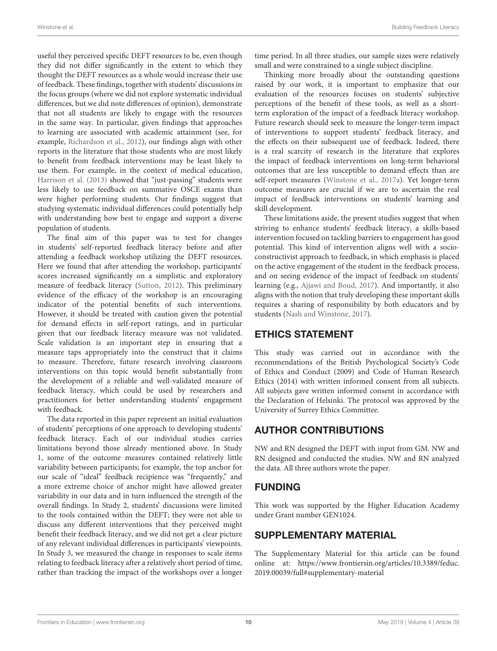useful they perceived specific DEFT resources to be, even though they did not differ significantly in the extent to which they thought the DEFT resources as a whole would increase their use of feedback. These findings, together with students' discussions in the focus groups (where we did not explore systematic individual differences, but we did note differences of opinion), demonstrate that not all students are likely to engage with the resources in the same way. In particular, given findings that approaches to learning are associated with academic attainment (see, for example, [Richardson et al., 2012\)](#page-10-32), our findings align with other reports in the literature that those students who are most likely to benefit from feedback interventions may be least likely to use them. For example, in the context of medical education, [Harrison et al. \(2013\)](#page-10-33) showed that "just-passing" students were less likely to use feedback on summative OSCE exams than were higher performing students. Our findings suggest that studying systematic individual differences could potentially help with understanding how best to engage and support a diverse population of students.

The final aim of this paper was to test for changes in students' self-reported feedback literacy before and after attending a feedback workshop utilizing the DEFT resources. Here we found that after attending the workshop, participants' scores increased significantly on a simplistic and exploratory measure of feedback literacy [\(Sutton, 2012\)](#page-10-27). This preliminary evidence of the efficacy of the workshop is an encouraging indicator of the potential benefits of such interventions. However, it should be treated with caution given the potential for demand effects in self-report ratings, and in particular given that our feedback literacy measure was not validated. Scale validation is an important step in ensuring that a measure taps appropriately into the construct that it claims to measure. Therefore, future research involving classroom interventions on this topic would benefit substantially from the development of a reliable and well-validated measure of feedback literacy, which could be used by researchers and practitioners for better understanding students' engagement with feedback.

The data reported in this paper represent an initial evaluation of students' perceptions of one approach to developing students' feedback literacy. Each of our individual studies carries limitations beyond those already mentioned above. In Study 1, some of the outcome measures contained relatively little variability between participants; for example, the top anchor for our scale of "ideal" feedback recipience was "frequently," and a more extreme choice of anchor might have allowed greater variability in our data and in turn influenced the strength of the overall findings. In Study 2, students' discussions were limited to the tools contained within the DEFT; they were not able to discuss any different interventions that they perceived might benefit their feedback literacy, and we did not get a clear picture of any relevant individual differences in participants' viewpoints. In Study 3, we measured the change in responses to scale items relating to feedback literacy after a relatively short period of time, rather than tracking the impact of the workshops over a longer time period. In all three studies, our sample sizes were relatively small and were constrained to a single subject discipline.

Thinking more broadly about the outstanding questions raised by our work, it is important to emphasize that our evaluation of the resources focuses on students' subjective perceptions of the benefit of these tools, as well as a shortterm exploration of the impact of a feedback literacy workshop. Future research should seek to measure the longer-term impact of interventions to support students' feedback literacy, and the effects on their subsequent use of feedback. Indeed, there is a real scarcity of research in the literature that explores the impact of feedback interventions on long-term behavioral outcomes that are less susceptible to demand effects than are self-report measures [\(Winstone et al., 2017a\)](#page-10-1). Yet longer-term outcome measures are crucial if we are to ascertain the real impact of feedback interventions on students' learning and skill development.

These limitations aside, the present studies suggest that when striving to enhance students' feedback literacy, a skills-based intervention focused on tackling barriers to engagement has good potential. This kind of intervention aligns well with a socioconstructivist approach to feedback, in which emphasis is placed on the active engagement of the student in the feedback process, and on seeing evidence of the impact of feedback on students' learning (e.g., [Ajjawi and Boud, 2017\)](#page-10-13). And importantly, it also aligns with the notion that truly developing these important skills requires a sharing of responsibility by both educators and by students [\(Nash and Winstone, 2017\)](#page-10-14).

# ETHICS STATEMENT

This study was carried out in accordance with the recommendations of the British Psychological Society's Code of Ethics and Conduct (2009) and Code of Human Research Ethics (2014) with written informed consent from all subjects. All subjects gave written informed consent in accordance with the Declaration of Helsinki. The protocol was approved by the University of Surrey Ethics Committee.

# AUTHOR CONTRIBUTIONS

NW and RN designed the DEFT with input from GM. NW and RN designed and conducted the studies. NW and RN analyzed the data. All three authors wrote the paper.

# FUNDING

This work was supported by the Higher Education Academy under Grant number GEN1024.

# SUPPLEMENTARY MATERIAL

<span id="page-9-0"></span>The Supplementary Material for this article can be found [online at: https://www.frontiersin.org/articles/10.3389/feduc.](https://www.frontiersin.org/articles/10.3389/feduc.2019.00039/full#supplementary-material) 2019.00039/full#supplementary-material